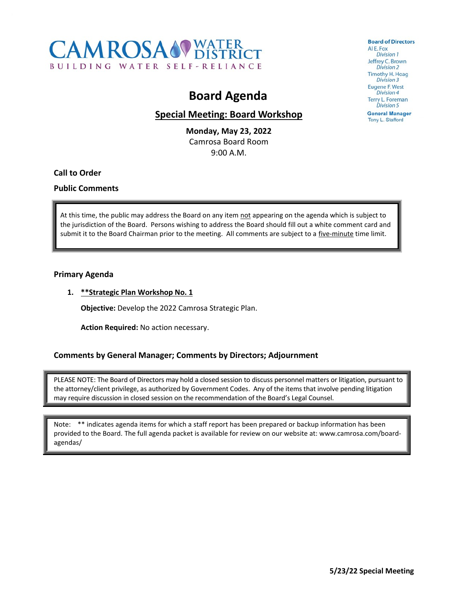

# **Board Agenda**

### **Special Meeting: Board Workshop**

**Monday, May 23, 2022** Camrosa Board Room 9:00 A.M.

**Call to Order**

**Public Comments**

At this time, the public may address the Board on any item not appearing on the agenda which is subject to the jurisdiction of the Board. Persons wishing to address the Board should fill out a white comment card and submit it to the Board Chairman prior to the meeting. All comments are subject to a five-minute time limit.

#### **Primary Agenda**

**1. \*\*Strategic Plan Workshop No. 1**

**Objective:** Develop the 2022 Camrosa Strategic Plan.

**Action Required:** No action necessary.

### **Comments by General Manager; Comments by Directors; Adjournment**

PLEASE NOTE: The Board of Directors may hold a closed session to discuss personnel matters or litigation, pursuant to the attorney/client privilege, as authorized by Government Codes. Any of the items that involve pending litigation may require discussion in closed session on the recommendation of the Board's Legal Counsel.

Note: \*\* indicates agenda items for which a staff report has been prepared or backup information has been provided to the Board. The full agenda packet is available for review on our website at: www.camrosa.com/boardagendas/

**Board of Directors** AI E. Fox **Division 1** Jeffrey C. Brown **Division 2** Timothy H. Hoag **Division 3 Eugene F. West Division 4** Terry L. Foreman **Division 5** 

**General Manager** Tony L. Stafford

**5/23/22 Special Meeting**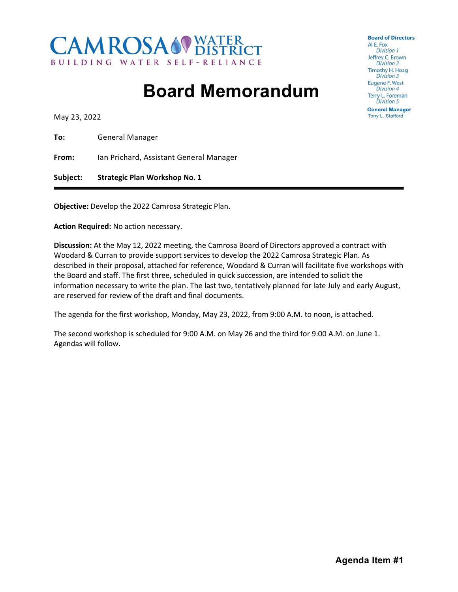

# **Board Memorandum**

May 23, 2022

**To:** General Manager

**From:** Ian Prichard, Assistant General Manager

**Subject: Strategic Plan Workshop No. 1**

**Objective:** Develop the 2022 Camrosa Strategic Plan.

**Action Required:** No action necessary.

**Discussion:** At the May 12, 2022 meeting, the Camrosa Board of Directors approved a contract with Woodard & Curran to provide support services to develop the 2022 Camrosa Strategic Plan. As described in their proposal, attached for reference, Woodard & Curran will facilitate five workshops with the Board and staff. The first three, scheduled in quick succession, are intended to solicit the information necessary to write the plan. The last two, tentatively planned for late July and early August, are reserved for review of the draft and final documents.

The agenda for the first workshop, Monday, May 23, 2022, from 9:00 A.M. to noon, is attached.

The second workshop is scheduled for 9:00 A.M. on May 26 and the third for 9:00 A.M. on June 1. Agendas will follow.

**Board of Directors** ALE, Fox **Division 1** Jeffrey C. Brown **Division 2** Timothy H. Hoag **Division 3 Eugene F. West Division 4 Terry L. Foreman Division 5** 

**General Manager** Tony L. Stafford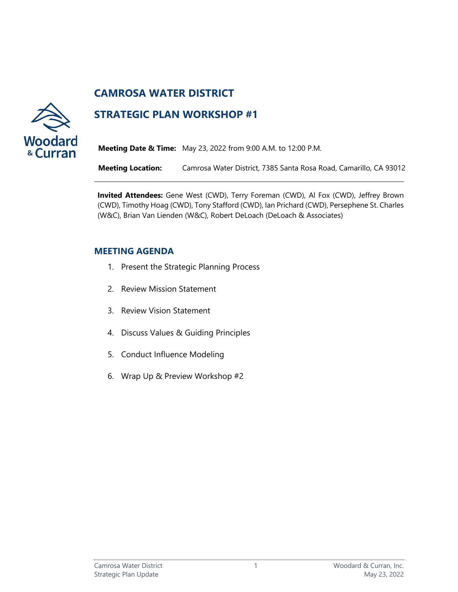### **CAMROSA WATER DISTRICT**



### **STRATEGIC PLAN WORKSHOP #1**

**Meeting Date & Time:** May 23, 2022 from 9:00 A.M. to 12:00 P.M.

**Meeting Location:** Camrosa Water District, 7385 Santa Rosa Road, Camarillo, CA 93012

**Invited Attendees:** Gene West (CWD), Terry Foreman (CWD), Al Fox (CWD), Jeffrey Brown (CWD), Timothy Hoag (CWD), Tony Stafford (CWD), Ian Prichard (CWD), Persephene St. Charles (W&C), Brian Van Lienden (W&C), Robert DeLoach (DeLoach & Associates)

### **MEETING AGENDA**

- 1. Present the Strategic Planning Process
- 2. Review Mission Statement
- 3. Review Vision Statement
- 4. Discuss Values & Guiding Principles
- 5. Conduct Influence Modeling
- 6. Wrap Up & Preview Workshop #2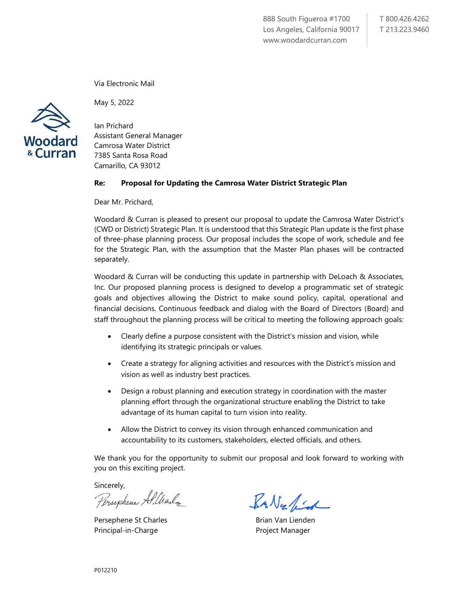Via Electronic Mail

May 5, 2022



Ian Prichard Assistant General Manager Camrosa Water District 7385 Santa Rosa Road Camarillo, CA 93012

#### **Re: Proposal for Updating the Camrosa Water District Strategic Plan**

Dear Mr. Prichard,

Woodard & Curran is pleased to present our proposal to update the Camrosa Water District's (CWD or District) Strategic Plan. It is understood that this Strategic Plan update is the first phase of three-phase planning process. Our proposal includes the scope of work, schedule and fee for the Strategic Plan, with the assumption that the Master Plan phases will be contracted separately.

Woodard & Curran will be conducting this update in partnership with DeLoach & Associates, Inc. Our proposed planning process is designed to develop a programmatic set of strategic goals and objectives allowing the District to make sound policy, capital, operational and financial decisions. Continuous feedback and dialog with the Board of Directors (Board) and staff throughout the planning process will be critical to meeting the following approach goals:

- Clearly define a purpose consistent with the District's mission and vision, while identifying its strategic principals or values.
- Create a strategy for aligning activities and resources with the District's mission and vision as well as industry best practices.
- Design a robust planning and execution strategy in coordination with the master planning effort through the organizational structure enabling the District to take advantage of its human capital to turn vision into reality.
- Allow the District to convey its vision through enhanced communication and accountability to its customers, stakeholders, elected officials, and others.

We thank you for the opportunity to submit our proposal and look forward to working with you on this exciting project.

Sincerely,

Persephen Allale

Persephene St Charles Brian Van Lienden Principal-in-Charge **Project Manager** Project Manager

RaValis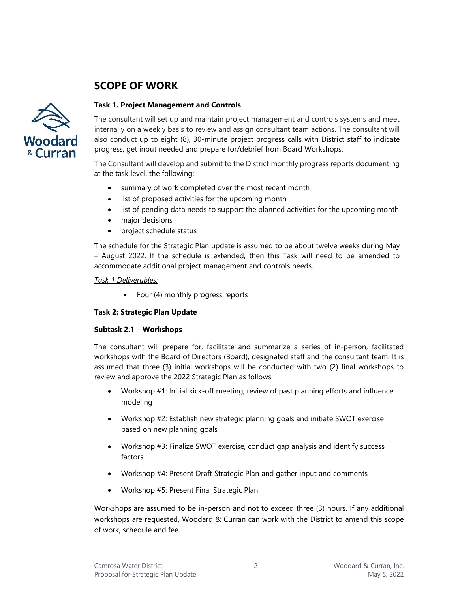## **SCOPE OF WORK**



### **Task 1. Project Management and Controls**

The consultant will set up and maintain project management and controls systems and meet internally on a weekly basis to review and assign consultant team actions. The consultant will also conduct up to eight (8), 30-minute project progress calls with District staff to indicate progress, get input needed and prepare for/debrief from Board Workshops.

The Consultant will develop and submit to the District monthly progress reports documenting at the task level, the following:

- summary of work completed over the most recent month
- list of proposed activities for the upcoming month
- list of pending data needs to support the planned activities for the upcoming month
- major decisions
- project schedule status

The schedule for the Strategic Plan update is assumed to be about twelve weeks during May – August 2022. If the schedule is extended, then this Task will need to be amended to accommodate additional project management and controls needs.

*Task 1 Deliverables:*

• Four (4) monthly progress reports

### **Task 2: Strategic Plan Update**

### **Subtask 2.1 – Workshops**

The consultant will prepare for, facilitate and summarize a series of in-person, facilitated workshops with the Board of Directors (Board), designated staff and the consultant team. It is assumed that three (3) initial workshops will be conducted with two (2) final workshops to review and approve the 2022 Strategic Plan as follows:

- Workshop #1: Initial kick-off meeting, review of past planning efforts and influence modeling
- Workshop #2: Establish new strategic planning goals and initiate SWOT exercise based on new planning goals
- Workshop #3: Finalize SWOT exercise, conduct gap analysis and identify success factors
- Workshop #4: Present Draft Strategic Plan and gather input and comments
- Workshop #5: Present Final Strategic Plan

Workshops are assumed to be in-person and not to exceed three (3) hours. If any additional workshops are requested, Woodard & Curran can work with the District to amend this scope of work, schedule and fee.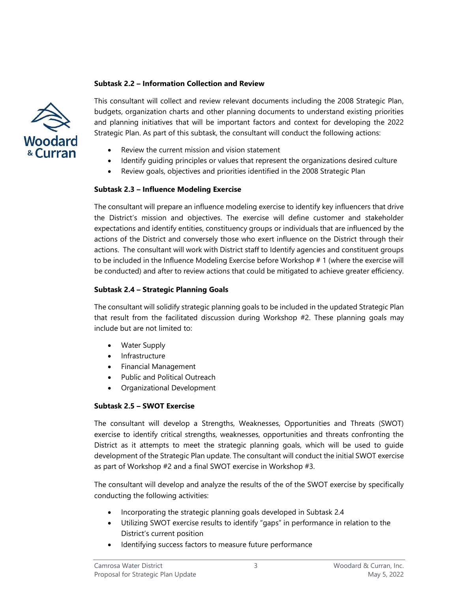### **Subtask 2.2 – Information Collection and Review**



This consultant will collect and review relevant documents including the 2008 Strategic Plan, budgets, organization charts and other planning documents to understand existing priorities and planning initiatives that will be important factors and context for developing the 2022 Strategic Plan. As part of this subtask, the consultant will conduct the following actions:

- Review the current mission and vision statement
- Identify guiding principles or values that represent the organizations desired culture
- Review goals, objectives and priorities identified in the 2008 Strategic Plan

### **Subtask 2.3 – Influence Modeling Exercise**

The consultant will prepare an influence modeling exercise to identify key influencers that drive the District's mission and objectives. The exercise will define customer and stakeholder expectations and identify entities, constituency groups or individuals that are influenced by the actions of the District and conversely those who exert influence on the District through their actions. The consultant will work with District staff to Identify agencies and constituent groups to be included in the Influence Modeling Exercise before Workshop # 1 (where the exercise will be conducted) and after to review actions that could be mitigated to achieve greater efficiency.

### **Subtask 2.4 – Strategic Planning Goals**

The consultant will solidify strategic planning goals to be included in the updated Strategic Plan that result from the facilitated discussion during Workshop #2. These planning goals may include but are not limited to:

- Water Supply
- Infrastructure
- Financial Management
- Public and Political Outreach
- Organizational Development

### **Subtask 2.5 – SWOT Exercise**

The consultant will develop a Strengths, Weaknesses, Opportunities and Threats (SWOT) exercise to identify critical strengths, weaknesses, opportunities and threats confronting the District as it attempts to meet the strategic planning goals, which will be used to guide development of the Strategic Plan update. The consultant will conduct the initial SWOT exercise as part of Workshop #2 and a final SWOT exercise in Workshop #3.

The consultant will develop and analyze the results of the of the SWOT exercise by specifically conducting the following activities:

- Incorporating the strategic planning goals developed in Subtask 2.4
- Utilizing SWOT exercise results to identify "gaps" in performance in relation to the District's current position
- Identifying success factors to measure future performance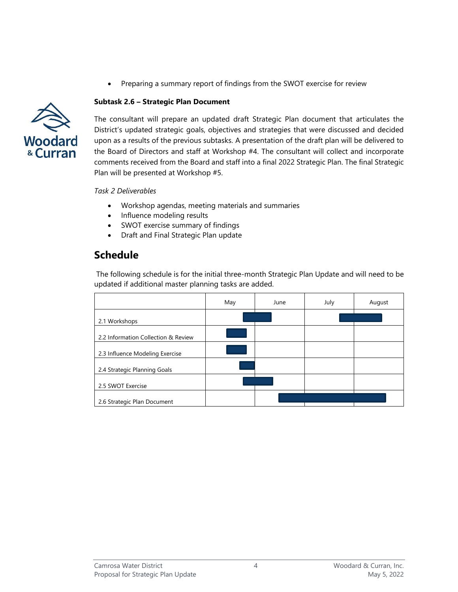• Preparing a summary report of findings from the SWOT exercise for review





The consultant will prepare an updated draft Strategic Plan document that articulates the District's updated strategic goals, objectives and strategies that were discussed and decided upon as a results of the previous subtasks. A presentation of the draft plan will be delivered to the Board of Directors and staff at Workshop #4. The consultant will collect and incorporate comments received from the Board and staff into a final 2022 Strategic Plan. The final Strategic Plan will be presented at Workshop #5.

*Task 2 Deliverables*

- Workshop agendas, meeting materials and summaries
- Influence modeling results
- SWOT exercise summary of findings
- Draft and Final Strategic Plan update

### **Schedule**

The following schedule is for the initial three-month Strategic Plan Update and will need to be updated if additional master planning tasks are added.

|                                     | May | June | July | August |
|-------------------------------------|-----|------|------|--------|
| 2.1 Workshops                       |     |      |      |        |
| 2.2 Information Collection & Review |     |      |      |        |
| 2.3 Influence Modeling Exercise     |     |      |      |        |
| 2.4 Strategic Planning Goals        |     |      |      |        |
| 2.5 SWOT Exercise                   |     |      |      |        |
| 2.6 Strategic Plan Document         |     |      |      |        |